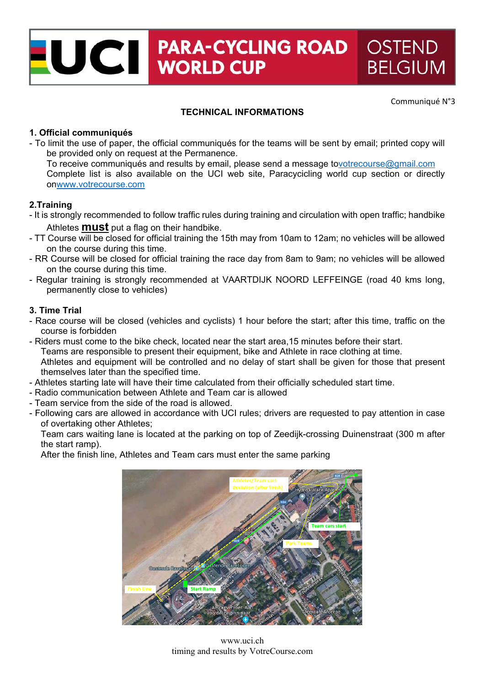# UCI PARA-CYCLII **PARA-CYCLING ROAD OSTEND BELGIUM**

Communiqué N°3

## **TECHNICAL INFORMATIONS**

## **1. Official communiqués**

- To limit the use of paper, the official communiqués for the teams will be sent by email; printed copy will be provided only on request at the Permanence.

To receive communiqués and results by email, please send a message tovotrecourse@gmail.com Complete list is also available on the UCI web site, Paracycicling world cup section or directly onwww.votrecourse.com

# **2.Training**

- It is strongly recommended to follow traffic rules during training and circulation with open traffic; handbike Athletes **must** put a flag on their handbike.
- TT Course will be closed for official training the 15th may from 10am to 12am; no vehicles will be allowed on the course during this time.
- RR Course will be closed for official training the race day from 8am to 9am; no vehicles will be allowed on the course during this time.
- Regular training is strongly recommended at VAARTDIJK NOORD LEFFEINGE (road 40 kms long, permanently close to vehicles)

#### **3. Time Trial**

- Race course will be closed (vehicles and cyclists) 1 hour before the start; after this time, traffic on the course is forbidden
- Riders must come to the bike check, located near the start area,15 minutes before their start. Teams are responsible to present their equipment, bike and Athlete in race clothing at time. Athletes and equipment will be controlled and no delay of start shall be given for those that present themselves later than the specified time.
- Athletes starting late will have their time calculated from their officially scheduled start time.
- Radio communication between Athlete and Team car is allowed
- Team service from the side of the road is allowed.
- Following cars are allowed in accordance with UCI rules; drivers are requested to pay attention in case of overtaking other Athletes;

Team cars waiting lane is located at the parking on top of Zeedijk-crossing Duinenstraat (300 m after the start ramp).

After the finish line, Athletes and Team cars must enter the same parking



www.uci.ch timing and results by VotreCourse.com